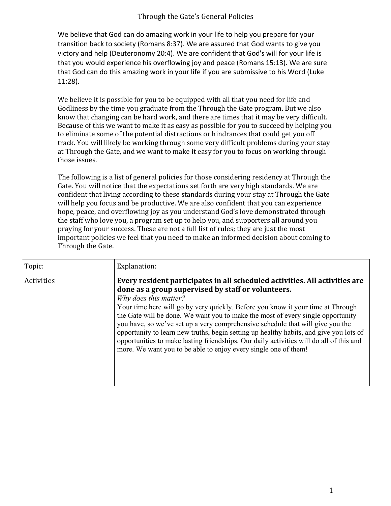## Through the Gate's General Policies

We believe that God can do amazing work in your life to help you prepare for your transition back to society (Romans 8:37). We are assured that God wants to give you victory and help (Deuteronomy 20:4). We are confident that God's will for your life is that you would experience his overflowing joy and peace (Romans 15:13). We are sure that God can do this amazing work in your life if you are submissive to his Word (Luke 11:28).

We believe it is possible for you to be equipped with all that you need for life and Godliness by the time you graduate from the Through the Gate program. But we also know that changing can be hard work, and there are times that it may be very difficult. Because of this we want to make it as easy as possible for you to succeed by helping you to eliminate some of the potential distractions or hindrances that could get you off track. You will likely be working through some very difficult problems during your stay at Through the Gate, and we want to make it easy for you to focus on working through those issues.

The following is a list of general policies for those considering residency at Through the Gate. You will notice that the expectations set forth are very high standards. We are confident that living according to these standards during your stay at Through the Gate will help you focus and be productive. We are also confident that you can experience hope, peace, and overflowing joy as you understand God's love demonstrated through the staff who love you, a program set up to help you, and supporters all around you praying for your success. These are not a full list of rules; they are just the most important policies we feel that you need to make an informed decision about coming to Through the Gate.

| Topic:     | Explanation:                                                                                                                                                                                                                                                                                                                                                                                                                                                                                                                                                                                                                                                               |
|------------|----------------------------------------------------------------------------------------------------------------------------------------------------------------------------------------------------------------------------------------------------------------------------------------------------------------------------------------------------------------------------------------------------------------------------------------------------------------------------------------------------------------------------------------------------------------------------------------------------------------------------------------------------------------------------|
| Activities | Every resident participates in all scheduled activities. All activities are<br>done as a group supervised by staff or volunteers.<br>Why does this matter?<br>Your time here will go by very quickly. Before you know it your time at Through<br>the Gate will be done. We want you to make the most of every single opportunity<br>you have, so we've set up a very comprehensive schedule that will give you the<br>opportunity to learn new truths, begin setting up healthy habits, and give you lots of<br>opportunities to make lasting friendships. Our daily activities will do all of this and<br>more. We want you to be able to enjoy every single one of them! |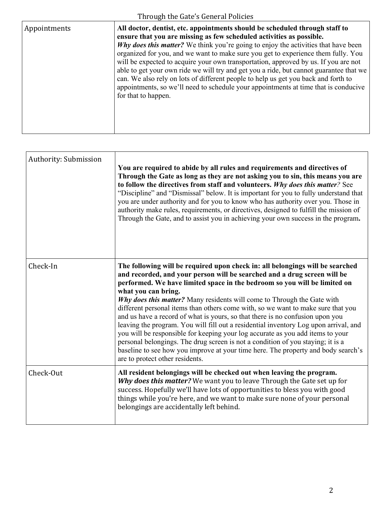| Through the Gate's General Policies |                                                                                                                                                                                                                                                                                                                                                                                                                                                                                                                                                                                                                                                                                                                     |
|-------------------------------------|---------------------------------------------------------------------------------------------------------------------------------------------------------------------------------------------------------------------------------------------------------------------------------------------------------------------------------------------------------------------------------------------------------------------------------------------------------------------------------------------------------------------------------------------------------------------------------------------------------------------------------------------------------------------------------------------------------------------|
| Appointments                        | All doctor, dentist, etc. appointments should be scheduled through staff to<br>ensure that you are missing as few scheduled activities as possible.<br>Why does this matter? We think you're going to enjoy the activities that have been<br>organized for you, and we want to make sure you get to experience them fully. You<br>will be expected to acquire your own transportation, approved by us. If you are not<br>able to get your own ride we will try and get you a ride, but cannot guarantee that we<br>can. We also rely on lots of different people to help us get you back and forth to<br>appointments, so we'll need to schedule your appointments at time that is conducive<br>for that to happen. |

| Authority: Submission | You are required to abide by all rules and requirements and directives of<br>Through the Gate as long as they are not asking you to sin, this means you are<br>to follow the directives from staff and volunteers. Why does this matter? See<br>"Discipline" and "Dismissal" below. It is important for you to fully understand that<br>you are under authority and for you to know who has authority over you. Those in<br>authority make rules, requirements, or directives, designed to fulfill the mission of<br>Through the Gate, and to assist you in achieving your own success in the program.                                                                                                                                                                                                                                                                                             |
|-----------------------|----------------------------------------------------------------------------------------------------------------------------------------------------------------------------------------------------------------------------------------------------------------------------------------------------------------------------------------------------------------------------------------------------------------------------------------------------------------------------------------------------------------------------------------------------------------------------------------------------------------------------------------------------------------------------------------------------------------------------------------------------------------------------------------------------------------------------------------------------------------------------------------------------|
| Check-In              | The following will be required upon check in: all belongings will be searched<br>and recorded, and your person will be searched and a drug screen will be<br>performed. We have limited space in the bedroom so you will be limited on<br>what you can bring.<br>Why does this matter? Many residents will come to Through the Gate with<br>different personal items than others come with, so we want to make sure that you<br>and us have a record of what is yours, so that there is no confusion upon you<br>leaving the program. You will fill out a residential inventory Log upon arrival, and<br>you will be responsible for keeping your log accurate as you add items to your<br>personal belongings. The drug screen is not a condition of you staying; it is a<br>baseline to see how you improve at your time here. The property and body search's<br>are to protect other residents. |
| Check-Out             | All resident belongings will be checked out when leaving the program.<br>Why does this matter? We want you to leave Through the Gate set up for<br>success. Hopefully we'll have lots of opportunities to bless you with good<br>things while you're here, and we want to make sure none of your personal<br>belongings are accidentally left behind.                                                                                                                                                                                                                                                                                                                                                                                                                                                                                                                                              |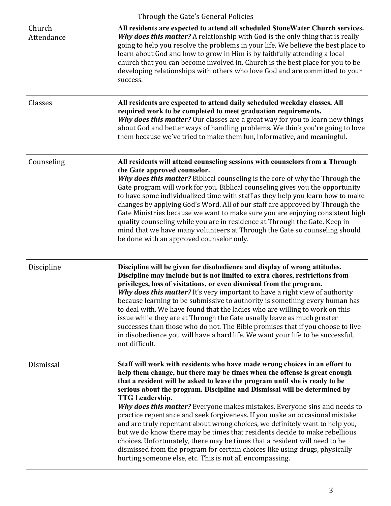|                      | Through the Gate's General Policies                                                                                                                                                                                                                                                                                                                                                                                                                                                                                                                                                                                                                                                                                                                                                                                                                                                              |
|----------------------|--------------------------------------------------------------------------------------------------------------------------------------------------------------------------------------------------------------------------------------------------------------------------------------------------------------------------------------------------------------------------------------------------------------------------------------------------------------------------------------------------------------------------------------------------------------------------------------------------------------------------------------------------------------------------------------------------------------------------------------------------------------------------------------------------------------------------------------------------------------------------------------------------|
| Church<br>Attendance | All residents are expected to attend all scheduled StoneWater Church services.<br>Why does this matter? A relationship with God is the only thing that is really<br>going to help you resolve the problems in your life. We believe the best place to<br>learn about God and how to grow in Him is by faithfully attending a local<br>church that you can become involved in. Church is the best place for you to be<br>developing relationships with others who love God and are committed to your<br>success.                                                                                                                                                                                                                                                                                                                                                                                  |
| Classes              | All residents are expected to attend daily scheduled weekday classes. All<br>required work to be completed to meet graduation requirements.<br>Why does this matter? Our classes are a great way for you to learn new things<br>about God and better ways of handling problems. We think you're going to love<br>them because we've tried to make them fun, informative, and meaningful.                                                                                                                                                                                                                                                                                                                                                                                                                                                                                                         |
| Counseling           | All residents will attend counseling sessions with counselors from a Through<br>the Gate approved counselor.<br>Why does this matter? Biblical counseling is the core of why the Through the<br>Gate program will work for you. Biblical counseling gives you the opportunity<br>to have some individualized time with staff as they help you learn how to make<br>changes by applying God's Word. All of our staff are approved by Through the<br>Gate Ministries because we want to make sure you are enjoying consistent high<br>quality counseling while you are in residence at Through the Gate. Keep in<br>mind that we have many volunteers at Through the Gate so counseling should<br>be done with an approved counselor only.                                                                                                                                                         |
| Discipline           | Discipline will be given for disobedience and display of wrong attitudes.<br>Discipline may include but is not limited to extra chores, restrictions from<br>privileges, loss of visitations, or even dismissal from the program.<br>Why does this matter? It's very important to have a right view of authority<br>because learning to be submissive to authority is something every human has<br>to deal with. We have found that the ladies who are willing to work on this<br>issue while they are at Through the Gate usually leave as much greater<br>successes than those who do not. The Bible promises that if you choose to live<br>in disobedience you will have a hard life. We want your life to be successful,<br>not difficult.                                                                                                                                                   |
| Dismissal            | Staff will work with residents who have made wrong choices in an effort to<br>help them change, but there may be times when the offense is great enough<br>that a resident will be asked to leave the program until she is ready to be<br>serious about the program. Discipline and Dismissal will be determined by<br><b>TTG</b> Leadership.<br>Why does this matter? Everyone makes mistakes. Everyone sins and needs to<br>practice repentance and seek forgiveness. If you make an occasional mistake<br>and are truly repentant about wrong choices, we definitely want to help you,<br>but we do know there may be times that residents decide to make rebellious<br>choices. Unfortunately, there may be times that a resident will need to be<br>dismissed from the program for certain choices like using drugs, physically<br>hurting someone else, etc. This is not all encompassing. |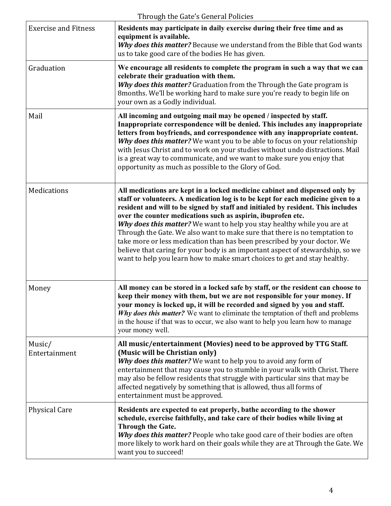|                             | Through the Gate's General Policies                                                                                                                                                                                                                                                                                                                                                                                                                                                                                                                                                                                                                                                                                     |
|-----------------------------|-------------------------------------------------------------------------------------------------------------------------------------------------------------------------------------------------------------------------------------------------------------------------------------------------------------------------------------------------------------------------------------------------------------------------------------------------------------------------------------------------------------------------------------------------------------------------------------------------------------------------------------------------------------------------------------------------------------------------|
| <b>Exercise and Fitness</b> | Residents may participate in daily exercise during their free time and as<br>equipment is available.<br>Why does this matter? Because we understand from the Bible that God wants<br>us to take good care of the bodies He has given.                                                                                                                                                                                                                                                                                                                                                                                                                                                                                   |
| Graduation                  | We encourage all residents to complete the program in such a way that we can<br>celebrate their graduation with them.<br>Why does this matter? Graduation from the Through the Gate program is<br>8months. We'll be working hard to make sure you're ready to begin life on<br>your own as a Godly individual.                                                                                                                                                                                                                                                                                                                                                                                                          |
| Mail                        | All incoming and outgoing mail may be opened / inspected by staff.<br>Inappropriate correspondence will be denied. This includes any inappropriate<br>letters from boyfriends, and correspondence with any inappropriate content.<br>Why does this matter? We want you to be able to focus on your relationship<br>with Jesus Christ and to work on your studies without undo distractions. Mail<br>is a great way to communicate, and we want to make sure you enjoy that<br>opportunity as much as possible to the Glory of God.                                                                                                                                                                                      |
| Medications                 | All medications are kept in a locked medicine cabinet and dispensed only by<br>staff or volunteers. A medication log is to be kept for each medicine given to a<br>resident and will to be signed by staff and initialed by resident. This includes<br>over the counter medications such as aspirin, ibuprofen etc.<br>Why does this matter? We want to help you stay healthy while you are at<br>Through the Gate. We also want to make sure that there is no temptation to<br>take more or less medication than has been prescribed by your doctor. We<br>believe that caring for your body is an important aspect of stewardship, so we<br>want to help you learn how to make smart choices to get and stay healthy. |
| Money                       | All money can be stored in a locked safe by staff, or the resident can choose to<br>keep their money with them, but we are not responsible for your money. If<br>your money is locked up, it will be recorded and signed by you and staff.<br>Why does this matter? We want to eliminate the temptation of theft and problems<br>in the house if that was to occur, we also want to help you learn how to manage<br>your money well.                                                                                                                                                                                                                                                                                    |
| Music/<br>Entertainment     | All music/entertainment (Movies) need to be approved by TTG Staff.<br>(Music will be Christian only)<br>Why does this matter? We want to help you to avoid any form of<br>entertainment that may cause you to stumble in your walk with Christ. There<br>may also be fellow residents that struggle with particular sins that may be<br>affected negatively by something that is allowed, thus all forms of<br>entertainment must be approved.                                                                                                                                                                                                                                                                          |
| <b>Physical Care</b>        | Residents are expected to eat properly, bathe according to the shower<br>schedule, exercise faithfully, and take care of their bodies while living at<br>Through the Gate.<br>Why does this matter? People who take good care of their bodies are often<br>more likely to work hard on their goals while they are at Through the Gate. We<br>want you to succeed!                                                                                                                                                                                                                                                                                                                                                       |